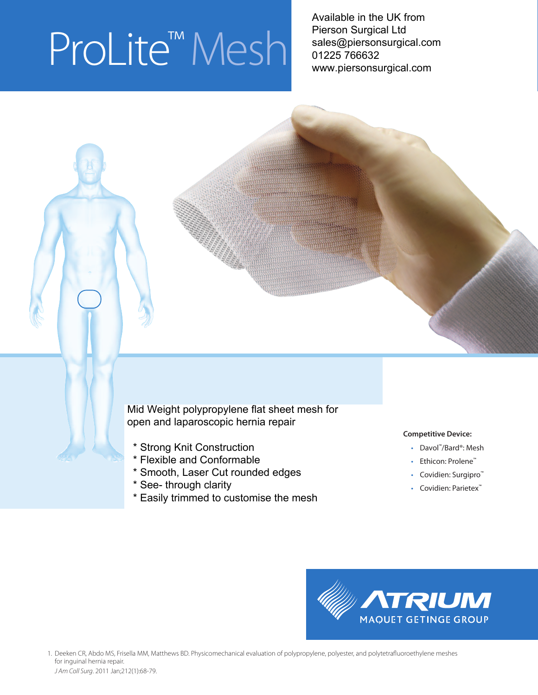# ProLite<sup>™</sup> Mesh

 Available in the UK from Pierson Surgical Ltd sales@piersonsurgical.com 01225 766632 www.piersonsurgical.com

open and laparoscopic hernia repair Mid Weight polypropylene flat sheet mesh for

- \* Strong Knit Construction
- Flexible and conformable \* Flexible and Conformable
- Smooth, laser cut rounded edges \* Smooth, Laser Cut rounded edges
- \* See- through clarity
- \* Easily trimmed to customise the mesh

# **Competitive Device:**

- Davol ™/Bard®: Mesh
- Ethicon: Prolene™
- Covidien: Surgipro™
- Covidien: Parietex™